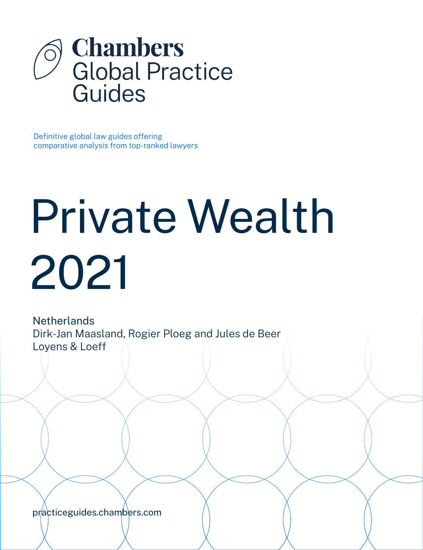

Definitive global law guides offering comparative analysis from top-ranked lawyers

# Private Wealth 2021

**Netherlands** Dirk-Jan Maasland, Rogier Ploeg and Jules de Beer Loyens & Loeff

[practiceguides.chambers.com](http://practiceguides.chambers.com)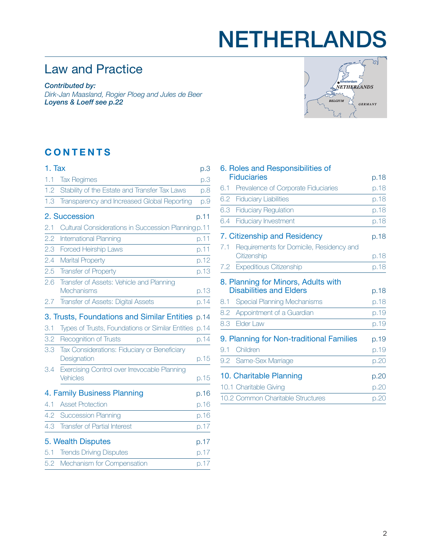## NETHERLANDS

## Law and Practice

*Contributed by: Dirk-Jan Maasland, Rogier Ploeg and Jules de Beer Loyens & Loeff [see p.22](#page-21-0)*



### **CONTENTS**

| 1. Tax |                                                             | p.3  |
|--------|-------------------------------------------------------------|------|
| 1.1    | <b>Tax Regimes</b>                                          | p.3  |
| 1.2    | Stability of the Estate and Transfer Tax Laws               | p.8  |
| 1.3    | Transparency and Increased Global Reporting                 | p.9  |
|        | 2. Succession                                               | p.11 |
| 2.1    | Cultural Considerations in Succession Planning p.11         |      |
| 2.2    | International Planning                                      | p.11 |
| 2.3    | <b>Forced Heirship Laws</b>                                 | p.11 |
| 2.4    | <b>Marital Property</b>                                     | p.12 |
| 2.5    | <b>Transfer of Property</b>                                 | p.13 |
| 2.6    | Transfer of Assets: Vehicle and Planning<br>Mechanisms      | p.13 |
| 2.7    | Transfer of Assets: Digital Assets                          | p.14 |
|        | 3. Trusts, Foundations and Similar Entities p.14            |      |
| 3.1    | Types of Trusts, Foundations or Similar Entities            | p.14 |
| 3.2    | <b>Recognition of Trusts</b>                                | p.14 |
| 3.3    | Tax Considerations: Fiduciary or Beneficiary<br>Designation | p.15 |
| 3.4    | Exercising Control over Irrevocable Planning<br>Vehicles    | p.15 |
|        | 4. Family Business Planning                                 | p.16 |
| 4.1    | <b>Asset Protection</b>                                     | p.16 |
| 4.2    | <b>Succession Planning</b>                                  | p.16 |
| 4.3    | <b>Transfer of Partial Interest</b>                         | p.17 |
|        | 5. Wealth Disputes                                          | p.17 |
| 5.1    | <b>Trends Driving Disputes</b>                              | p.17 |
| 5.2    | Mechanism for Compensation                                  | p.17 |
|        |                                                             |      |

|     | 6. Roles and Responsibilities of         |      |
|-----|------------------------------------------|------|
|     | <b>Fiduciaries</b>                       | p.18 |
| 6.1 | Prevalence of Corporate Fiduciaries      | p.18 |
| 6.2 | <b>Fiduciary Liabilities</b>             | p.18 |
| 6.3 | <b>Fiduciary Regulation</b>              | p.18 |
| 6.4 | <b>Fiduciary Investment</b>              | p.18 |
|     | 7. Citizenship and Residency             | p.18 |
| 7.1 | Requirements for Domicile, Residency and |      |
|     | Citizenship                              | p.18 |
| 7.2 | <b>Expeditious Citizenship</b>           | p.18 |
|     | 8. Planning for Minors, Adults with      |      |
|     | <b>Disabilities and Elders</b>           | p.18 |
| 8.1 | <b>Special Planning Mechanisms</b>       | p.18 |
| 8.2 | Appointment of a Guardian                | p.19 |
| 8.3 | Elder Law                                | p.19 |
|     | 9. Planning for Non-traditional Families | p.19 |
| 9.1 | Children                                 | p.19 |
|     | 9.2 Same-Sex Marriage                    | p.20 |
|     | 10. Charitable Planning                  | p.20 |
|     | 10.1 Charitable Giving                   | p.20 |
|     | 10.2 Common Charitable Structures        | p.20 |
|     |                                          |      |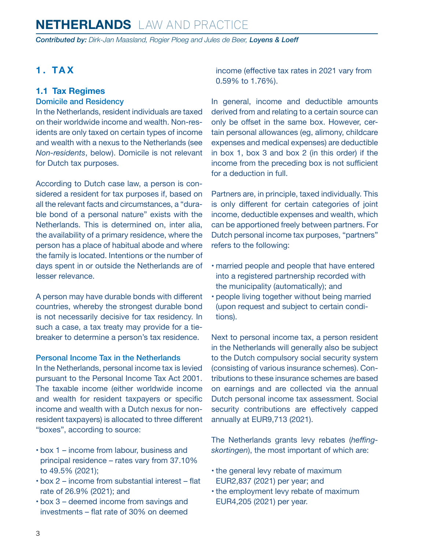<span id="page-2-0"></span>*Contributed by: Dirk-Jan Maasland, Rogier Ploeg and Jules de Beer, Loyens & Loeff*

#### **1. TAX**

#### **1.1 Tax Regimes**

#### Domicile and Residency

In the Netherlands, resident individuals are taxed on their worldwide income and wealth. Non-residents are only taxed on certain types of income and wealth with a nexus to the Netherlands (see *Non-residents*, below). Domicile is not relevant for Dutch tax purposes.

According to Dutch case law, a person is considered a resident for tax purposes if, based on all the relevant facts and circumstances, a "durable bond of a personal nature" exists with the Netherlands. This is determined on, inter alia, the availability of a primary residence, where the person has a place of habitual abode and where the family is located. Intentions or the number of days spent in or outside the Netherlands are of lesser relevance.

A person may have durable bonds with different countries, whereby the strongest durable bond is not necessarily decisive for tax residency. In such a case, a tax treaty may provide for a tiebreaker to determine a person's tax residence.

#### Personal Income Tax in the Netherlands

In the Netherlands, personal income tax is levied pursuant to the Personal Income Tax Act 2001. The taxable income (either worldwide income and wealth for resident taxpayers or specific income and wealth with a Dutch nexus for nonresident taxpayers) is allocated to three different "boxes", according to source:

- box 1 income from labour, business and principal residence – rates vary from 37.10% to 49.5% (2021);
- box 2 income from substantial interest flat rate of 26.9% (2021); and
- box 3 deemed income from savings and investments – flat rate of 30% on deemed

income (effective tax rates in 2021 vary from 0.59% to 1.76%).

In general, income and deductible amounts derived from and relating to a certain source can only be offset in the same box. However, certain personal allowances (eg, alimony, childcare expenses and medical expenses) are deductible in box 1, box 3 and box 2 (in this order) if the income from the preceding box is not sufficient for a deduction in full.

Partners are, in principle, taxed individually. This is only different for certain categories of joint income, deductible expenses and wealth, which can be apportioned freely between partners. For Dutch personal income tax purposes, "partners" refers to the following:

- married people and people that have entered into a registered partnership recorded with the municipality (automatically); and
- people living together without being married (upon request and subject to certain conditions).

Next to personal income tax, a person resident in the Netherlands will generally also be subject to the Dutch compulsory social security system (consisting of various insurance schemes). Contributions to these insurance schemes are based on earnings and are collected via the annual Dutch personal income tax assessment. Social security contributions are effectively capped annually at EUR9,713 (2021).

The Netherlands grants levy rebates (*heffingskortingen*), the most important of which are:

- the general levy rebate of maximum EUR2,837 (2021) per year; and
- the employment levy rebate of maximum EUR4,205 (2021) per year.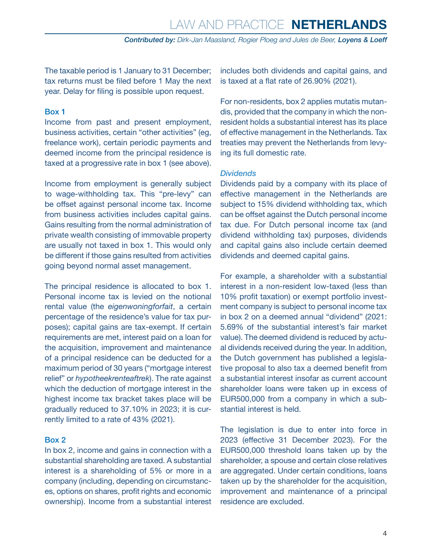The taxable period is 1 January to 31 December; tax returns must be filed before 1 May the next year. Delay for filing is possible upon request.

#### Box 1

Income from past and present employment, business activities, certain "other activities" (eg, freelance work), certain periodic payments and deemed income from the principal residence is taxed at a progressive rate in box 1 (see above).

Income from employment is generally subject to wage-withholding tax. This "pre-levy" can be offset against personal income tax. Income from business activities includes capital gains. Gains resulting from the normal administration of private wealth consisting of immovable property are usually not taxed in box 1. This would only be different if those gains resulted from activities going beyond normal asset management.

The principal residence is allocated to box 1. Personal income tax is levied on the notional rental value (the *eigenwoningforfait*, a certain percentage of the residence's value for tax purposes); capital gains are tax-exempt. If certain requirements are met, interest paid on a loan for the acquisition, improvement and maintenance of a principal residence can be deducted for a maximum period of 30 years ("mortgage interest relief" or *hypotheekrenteaftrek*). The rate against which the deduction of mortgage interest in the highest income tax bracket takes place will be gradually reduced to 37.10% in 2023; it is currently limited to a rate of 43% (2021).

#### Box 2

In box 2, income and gains in connection with a substantial shareholding are taxed. A substantial interest is a shareholding of 5% or more in a company (including, depending on circumstances, options on shares, profit rights and economic ownership). Income from a substantial interest includes both dividends and capital gains, and is taxed at a flat rate of 26.90% (2021).

For non-residents, box 2 applies mutatis mutandis, provided that the company in which the nonresident holds a substantial interest has its place of effective management in the Netherlands. Tax treaties may prevent the Netherlands from levying its full domestic rate.

#### *Dividends*

Dividends paid by a company with its place of effective management in the Netherlands are subject to 15% dividend withholding tax, which can be offset against the Dutch personal income tax due. For Dutch personal income tax (and dividend withholding tax) purposes, dividends and capital gains also include certain deemed dividends and deemed capital gains.

For example, a shareholder with a substantial interest in a non-resident low-taxed (less than 10% profit taxation) or exempt portfolio investment company is subject to personal income tax in box 2 on a deemed annual "dividend" (2021: 5.69% of the substantial interest's fair market value). The deemed dividend is reduced by actual dividends received during the year. In addition, the Dutch government has published a legislative proposal to also tax a deemed benefit from a substantial interest insofar as current account shareholder loans were taken up in excess of EUR500,000 from a company in which a substantial interest is held.

The legislation is due to enter into force in 2023 (effective 31 December 2023). For the EUR500,000 threshold loans taken up by the shareholder, a spouse and certain close relatives are aggregated. Under certain conditions, loans taken up by the shareholder for the acquisition, improvement and maintenance of a principal residence are excluded.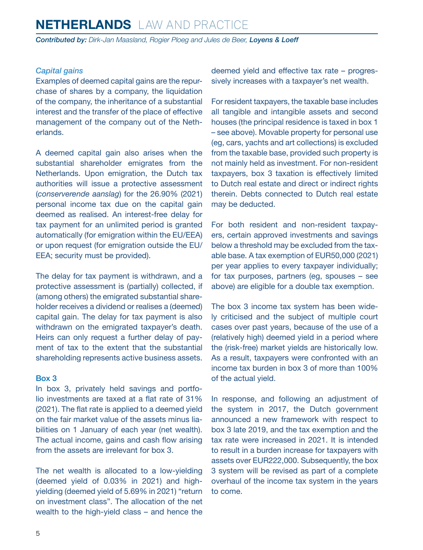*Contributed by: Dirk-Jan Maasland, Rogier Ploeg and Jules de Beer, Loyens & Loeff*

#### *Capital gains*

Examples of deemed capital gains are the repurchase of shares by a company, the liquidation of the company, the inheritance of a substantial interest and the transfer of the place of effective management of the company out of the Netherlands.

A deemed capital gain also arises when the substantial shareholder emigrates from the Netherlands. Upon emigration, the Dutch tax authorities will issue a protective assessment (*conserverende aanslag*) for the 26.90% (2021) personal income tax due on the capital gain deemed as realised. An interest-free delay for tax payment for an unlimited period is granted automatically (for emigration within the EU/EEA) or upon request (for emigration outside the EU/ EEA; security must be provided).

The delay for tax payment is withdrawn, and a protective assessment is (partially) collected, if (among others) the emigrated substantial shareholder receives a dividend or realises a (deemed) capital gain. The delay for tax payment is also withdrawn on the emigrated taxpayer's death. Heirs can only request a further delay of payment of tax to the extent that the substantial shareholding represents active business assets.

#### Box 3

In box 3, privately held savings and portfolio investments are taxed at a flat rate of 31% (2021). The flat rate is applied to a deemed yield on the fair market value of the assets minus liabilities on 1 January of each year (net wealth). The actual income, gains and cash flow arising from the assets are irrelevant for box 3.

The net wealth is allocated to a low-yielding (deemed yield of 0.03% in 2021) and highyielding (deemed yield of 5.69% in 2021) "return on investment class". The allocation of the net wealth to the high-yield class – and hence the deemed yield and effective tax rate – progressively increases with a taxpayer's net wealth.

For resident taxpayers, the taxable base includes all tangible and intangible assets and second houses (the principal residence is taxed in box 1 – see above). Movable property for personal use (eg, cars, yachts and art collections) is excluded from the taxable base, provided such property is not mainly held as investment. For non-resident taxpayers, box 3 taxation is effectively limited to Dutch real estate and direct or indirect rights therein. Debts connected to Dutch real estate may be deducted.

For both resident and non-resident taxpayers, certain approved investments and savings below a threshold may be excluded from the taxable base. A tax exemption of EUR50,000 (2021) per year applies to every taxpayer individually; for tax purposes, partners (eg, spouses – see above) are eligible for a double tax exemption.

The box 3 income tax system has been widely criticised and the subject of multiple court cases over past years, because of the use of a (relatively high) deemed yield in a period where the (risk-free) market yields are historically low. As a result, taxpayers were confronted with an income tax burden in box 3 of more than 100% of the actual yield.

In response, and following an adjustment of the system in 2017, the Dutch government announced a new framework with respect to box 3 late 2019, and the tax exemption and the tax rate were increased in 2021. It is intended to result in a burden increase for taxpayers with assets over EUR222,000. Subsequently, the box 3 system will be revised as part of a complete overhaul of the income tax system in the years to come.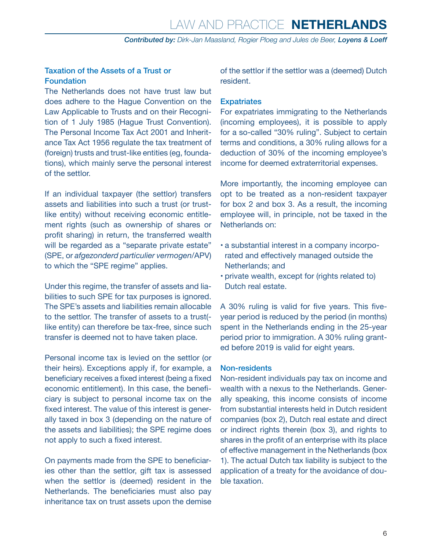#### Taxation of the Assets of a Trust or Foundation

The Netherlands does not have trust law but does adhere to the Hague Convention on the Law Applicable to Trusts and on their Recognition of 1 July 1985 (Hague Trust Convention). The Personal Income Tax Act 2001 and Inheritance Tax Act 1956 regulate the tax treatment of (foreign) trusts and trust-like entities (eg, foundations), which mainly serve the personal interest of the settlor.

If an individual taxpayer (the settlor) transfers assets and liabilities into such a trust (or trustlike entity) without receiving economic entitlement rights (such as ownership of shares or profit sharing) in return, the transferred wealth will be regarded as a "separate private estate" (SPE, or *afgezonderd particulier vermogen*/APV) to which the "SPE regime" applies.

Under this regime, the transfer of assets and liabilities to such SPE for tax purposes is ignored. The SPE's assets and liabilities remain allocable to the settlor. The transfer of assets to a trust( like entity) can therefore be tax-free, since such transfer is deemed not to have taken place.

Personal income tax is levied on the settlor (or their heirs). Exceptions apply if, for example, a beneficiary receives a fixed interest (being a fixed economic entitlement). In this case, the beneficiary is subject to personal income tax on the fixed interest. The value of this interest is generally taxed in box 3 (depending on the nature of the assets and liabilities); the SPE regime does not apply to such a fixed interest.

On payments made from the SPE to beneficiaries other than the settlor, gift tax is assessed when the settlor is (deemed) resident in the Netherlands. The beneficiaries must also pay inheritance tax on trust assets upon the demise of the settlor if the settlor was a (deemed) Dutch resident.

#### **Expatriates**

For expatriates immigrating to the Netherlands (incoming employees), it is possible to apply for a so-called "30% ruling". Subject to certain terms and conditions, a 30% ruling allows for a deduction of 30% of the incoming employee's income for deemed extraterritorial expenses.

More importantly, the incoming employee can opt to be treated as a non-resident taxpayer for box 2 and box 3. As a result, the incoming employee will, in principle, not be taxed in the Netherlands on:

- a substantial interest in a company incorporated and effectively managed outside the Netherlands; and
- private wealth, except for (rights related to) Dutch real estate.

A 30% ruling is valid for five years. This fiveyear period is reduced by the period (in months) spent in the Netherlands ending in the 25-year period prior to immigration. A 30% ruling granted before 2019 is valid for eight years.

#### Non-residents

Non-resident individuals pay tax on income and wealth with a nexus to the Netherlands. Generally speaking, this income consists of income from substantial interests held in Dutch resident companies (box 2), Dutch real estate and direct or indirect rights therein (box 3), and rights to shares in the profit of an enterprise with its place of effective management in the Netherlands (box 1). The actual Dutch tax liability is subject to the application of a treaty for the avoidance of double taxation.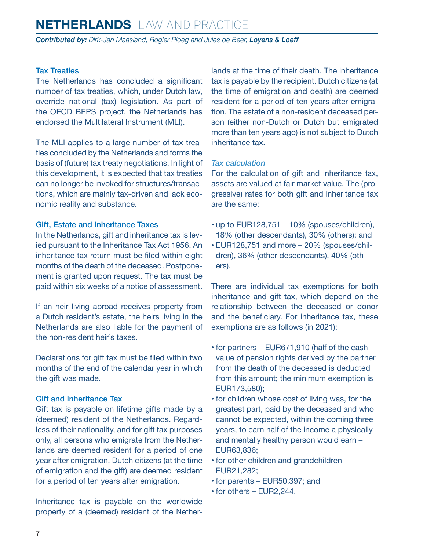*Contributed by: Dirk-Jan Maasland, Rogier Ploeg and Jules de Beer, Loyens & Loeff*

#### Tax Treaties

The Netherlands has concluded a significant number of tax treaties, which, under Dutch law, override national (tax) legislation. As part of the OECD BEPS project, the Netherlands has endorsed the Multilateral Instrument (MLI).

The MLI applies to a large number of tax treaties concluded by the Netherlands and forms the basis of (future) tax treaty negotiations. In light of this development, it is expected that tax treaties can no longer be invoked for structures/transactions, which are mainly tax-driven and lack economic reality and substance.

#### Gift, Estate and Inheritance Taxes

In the Netherlands, gift and inheritance tax is levied pursuant to the Inheritance Tax Act 1956. An inheritance tax return must be filed within eight months of the death of the deceased. Postponement is granted upon request. The tax must be paid within six weeks of a notice of assessment.

If an heir living abroad receives property from a Dutch resident's estate, the heirs living in the Netherlands are also liable for the payment of the non-resident heir's taxes.

Declarations for gift tax must be filed within two months of the end of the calendar year in which the gift was made.

#### Gift and Inheritance Tax

Gift tax is payable on lifetime gifts made by a (deemed) resident of the Netherlands. Regardless of their nationality, and for gift tax purposes only, all persons who emigrate from the Netherlands are deemed resident for a period of one year after emigration. Dutch citizens (at the time of emigration and the gift) are deemed resident for a period of ten years after emigration.

Inheritance tax is payable on the worldwide property of a (deemed) resident of the Netherlands at the time of their death. The inheritance tax is payable by the recipient. Dutch citizens (at the time of emigration and death) are deemed resident for a period of ten years after emigration. The estate of a non-resident deceased person (either non-Dutch or Dutch but emigrated more than ten years ago) is not subject to Dutch inheritance tax.

#### *Tax calculation*

For the calculation of gift and inheritance tax, assets are valued at fair market value. The (progressive) rates for both gift and inheritance tax are the same:

- up to EUR128,751 10% (spouses/children), 18% (other descendants), 30% (others); and
- EUR128,751 and more 20% (spouses/children), 36% (other descendants), 40% (others).

There are individual tax exemptions for both inheritance and gift tax, which depend on the relationship between the deceased or donor and the beneficiary. For inheritance tax, these exemptions are as follows (in 2021):

- for partners EUR671,910 (half of the cash value of pension rights derived by the partner from the death of the deceased is deducted from this amount; the minimum exemption is EUR173,580);
- for children whose cost of living was, for the greatest part, paid by the deceased and who cannot be expected, within the coming three years, to earn half of the income a physically and mentally healthy person would earn – EUR63,836;
- for other children and grandchildren EUR21,282;
- for parents EUR50,397; and
- for others EUR2,244.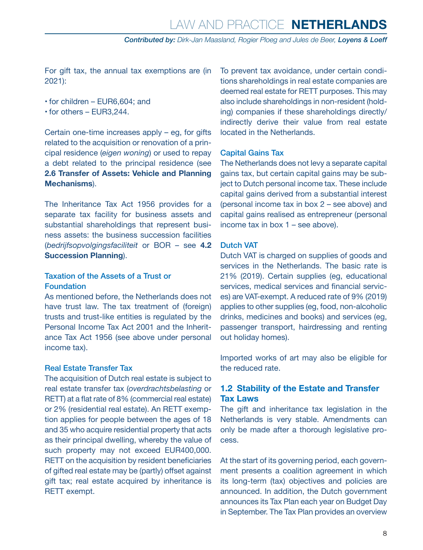*Contributed by: Dirk-Jan Maasland, Rogier Ploeg and Jules de Beer, Loyens & Loeff*

<span id="page-7-0"></span>For gift tax, the annual tax exemptions are (in 2021):

- for children EUR6,604; and
- for others EUR3,244.

Certain one-time increases apply – eg, for gifts related to the acquisition or renovation of a principal residence (*eigen woning*) or used to repay a debt related to the principal residence (see **2.6 Transfer of Assets: Vehicle and Planning Mechanisms**).

The Inheritance Tax Act 1956 provides for a separate tax facility for business assets and substantial shareholdings that represent business assets: the business succession facilities (*bedrijfsopvolgingsfaciliteit* or BOR – see **4.2 Succession Planning**).

#### Taxation of the Assets of a Trust or Foundation

As mentioned before, the Netherlands does not have trust law. The tax treatment of (foreign) trusts and trust-like entities is regulated by the Personal Income Tax Act 2001 and the Inheritance Tax Act 1956 (see above under personal income tax).

#### Real Estate Transfer Tax

The acquisition of Dutch real estate is subject to real estate transfer tax (*overdrachtsbelasting* or RETT) at a flat rate of 8% (commercial real estate) or 2% (residential real estate). An RETT exemption applies for people between the ages of 18 and 35 who acquire residential property that acts as their principal dwelling, whereby the value of such property may not exceed EUR400,000. RETT on the acquisition by resident beneficiaries of gifted real estate may be (partly) offset against gift tax; real estate acquired by inheritance is RETT exempt.

To prevent tax avoidance, under certain conditions shareholdings in real estate companies are deemed real estate for RETT purposes. This may also include shareholdings in non-resident (holding) companies if these shareholdings directly/ indirectly derive their value from real estate located in the Netherlands.

#### Capital Gains Tax

The Netherlands does not levy a separate capital gains tax, but certain capital gains may be subject to Dutch personal income tax. These include capital gains derived from a substantial interest (personal income tax in box 2 – see above) and capital gains realised as entrepreneur (personal income tax in box 1 – see above).

#### Dutch VAT

Dutch VAT is charged on supplies of goods and services in the Netherlands. The basic rate is 21% (2019). Certain supplies (eg, educational services, medical services and financial services) are VAT-exempt. A reduced rate of 9% (2019) applies to other supplies (eg, food, non-alcoholic drinks, medicines and books) and services (eg, passenger transport, hairdressing and renting out holiday homes).

Imported works of art may also be eligible for the reduced rate.

#### **1.2 Stability of the Estate and Transfer Tax Laws**

The gift and inheritance tax legislation in the Netherlands is very stable. Amendments can only be made after a thorough legislative process.

At the start of its governing period, each government presents a coalition agreement in which its long-term (tax) objectives and policies are announced. In addition, the Dutch government announces its Tax Plan each year on Budget Day in September. The Tax Plan provides an overview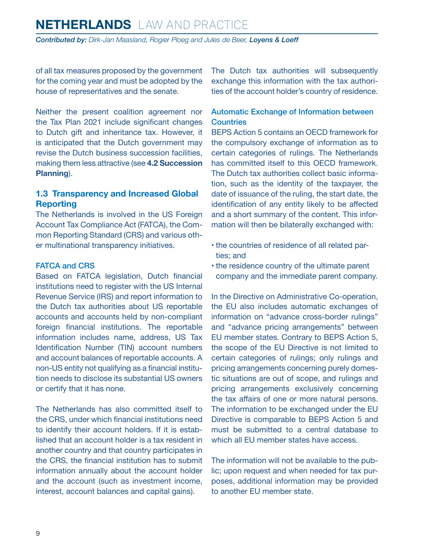<span id="page-8-0"></span>*Contributed by: Dirk-Jan Maasland, Rogier Ploeg and Jules de Beer, Loyens & Loeff*

of all tax measures proposed by the government for the coming year and must be adopted by the house of representatives and the senate.

Neither the present coalition agreement nor the Tax Plan 2021 include significant changes to Dutch gift and inheritance tax. However, it is anticipated that the Dutch government may revise the Dutch business succession facilities, making them less attractive (see **4.2 Succession Planning**).

#### **1.3 Transparency and Increased Global Reporting**

The Netherlands is involved in the US Foreign Account Tax Compliance Act (FATCA), the Common Reporting Standard (CRS) and various other multinational transparency initiatives.

#### FATCA and CRS

Based on FATCA legislation, Dutch financial institutions need to register with the US Internal Revenue Service (IRS) and report information to the Dutch tax authorities about US reportable accounts and accounts held by non-compliant foreign financial institutions. The reportable information includes name, address, US Tax Identification Number (TIN) account numbers and account balances of reportable accounts. A non-US entity not qualifying as a financial institution needs to disclose its substantial US owners or certify that it has none.

The Netherlands has also committed itself to the CRS, under which financial institutions need to identify their account holders. If it is established that an account holder is a tax resident in another country and that country participates in the CRS, the financial institution has to submit information annually about the account holder and the account (such as investment income, interest, account balances and capital gains).

The Dutch tax authorities will subsequently exchange this information with the tax authorities of the account holder's country of residence.

#### Automatic Exchange of Information between **Countries**

BEPS Action 5 contains an OECD framework for the compulsory exchange of information as to certain categories of rulings. The Netherlands has committed itself to this OECD framework. The Dutch tax authorities collect basic information, such as the identity of the taxpayer, the date of issuance of the ruling, the start date, the identification of any entity likely to be affected and a short summary of the content. This information will then be bilaterally exchanged with:

- the countries of residence of all related parties; and
- the residence country of the ultimate parent company and the immediate parent company.

In the Directive on Administrative Co-operation, the EU also includes automatic exchanges of information on "advance cross-border rulings" and "advance pricing arrangements" between EU member states. Contrary to BEPS Action 5, the scope of the EU Directive is not limited to certain categories of rulings; only rulings and pricing arrangements concerning purely domestic situations are out of scope, and rulings and pricing arrangements exclusively concerning the tax affairs of one or more natural persons. The information to be exchanged under the EU Directive is comparable to BEPS Action 5 and must be submitted to a central database to which all EU member states have access.

The information will not be available to the public; upon request and when needed for tax purposes, additional information may be provided to another EU member state.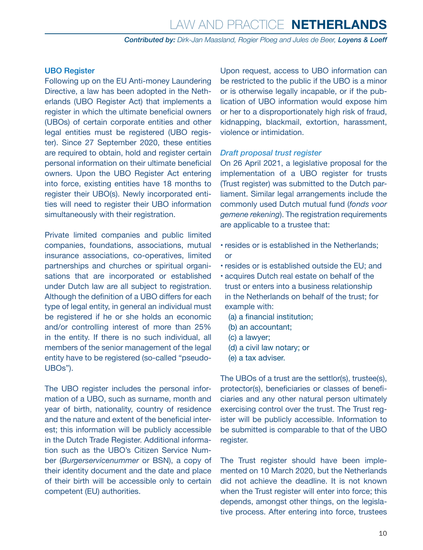#### UBO Register

Following up on the EU Anti-money Laundering Directive, a law has been adopted in the Netherlands (UBO Register Act) that implements a register in which the ultimate beneficial owners (UBOs) of certain corporate entities and other legal entities must be registered (UBO register). Since 27 September 2020, these entities are required to obtain, hold and register certain personal information on their ultimate beneficial owners. Upon the UBO Register Act entering into force, existing entities have 18 months to register their UBO(s). Newly incorporated entities will need to register their UBO information simultaneously with their registration.

Private limited companies and public limited companies, foundations, associations, mutual insurance associations, co-operatives, limited partnerships and churches or spiritual organisations that are incorporated or established under Dutch law are all subject to registration. Although the definition of a UBO differs for each type of legal entity, in general an individual must be registered if he or she holds an economic and/or controlling interest of more than 25% in the entity. If there is no such individual, all members of the senior management of the legal entity have to be registered (so-called "pseudo-UBOs").

The UBO register includes the personal information of a UBO, such as surname, month and year of birth, nationality, country of residence and the nature and extent of the beneficial interest; this information will be publicly accessible in the Dutch Trade Register. Additional information such as the UBO's Citizen Service Number (*Burgerservicenummer* or BSN), a copy of their identity document and the date and place of their birth will be accessible only to certain competent (EU) authorities.

Upon request, access to UBO information can be restricted to the public if the UBO is a minor or is otherwise legally incapable, or if the publication of UBO information would expose him or her to a disproportionately high risk of fraud, kidnapping, blackmail, extortion, harassment, violence or intimidation.

#### *Draft proposal trust register*

On 26 April 2021, a legislative proposal for the implementation of a UBO register for trusts (Trust register) was submitted to the Dutch parliament. Similar legal arrangements include the commonly used Dutch mutual fund (*fonds voor gemene rekening*). The registration requirements are applicable to a trustee that:

- resides or is established in the Netherlands; or
- resides or is established outside the EU; and
- acquires Dutch real estate on behalf of the trust or enters into a business relationship in the Netherlands on behalf of the trust; for example with:
	- (a) a financial institution;
	- (b) an accountant;
	- (c) a lawyer;
	- (d) a civil law notary; or
	- (e) a tax adviser.

The UBOs of a trust are the settlor(s), trustee(s), protector(s), beneficiaries or classes of beneficiaries and any other natural person ultimately exercising control over the trust. The Trust register will be publicly accessible. Information to be submitted is comparable to that of the UBO register.

The Trust register should have been implemented on 10 March 2020, but the Netherlands did not achieve the deadline. It is not known when the Trust register will enter into force; this depends, amongst other things, on the legislative process. After entering into force, trustees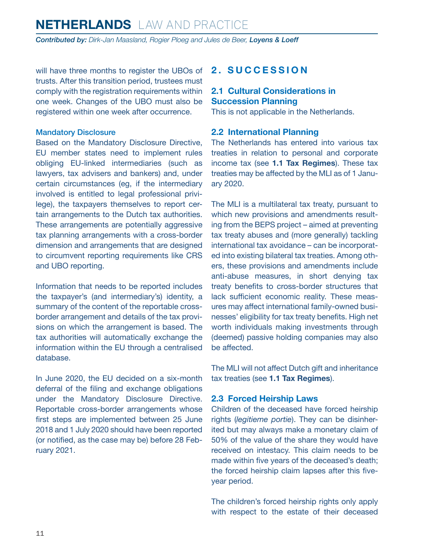<span id="page-10-0"></span>*Contributed by: Dirk-Jan Maasland, Rogier Ploeg and Jules de Beer, Loyens & Loeff*

will have three months to register the UBOs of trusts. After this transition period, trustees must comply with the registration requirements within one week. Changes of the UBO must also be registered within one week after occurrence.

#### Mandatory Disclosure

Based on the Mandatory Disclosure Directive, EU member states need to implement rules obliging EU-linked intermediaries (such as lawyers, tax advisers and bankers) and, under certain circumstances (eg, if the intermediary involved is entitled to legal professional privilege), the taxpayers themselves to report certain arrangements to the Dutch tax authorities. These arrangements are potentially aggressive tax planning arrangements with a cross-border dimension and arrangements that are designed to circumvent reporting requirements like CRS and UBO reporting.

Information that needs to be reported includes the taxpayer's (and intermediary's) identity, a summary of the content of the reportable crossborder arrangement and details of the tax provisions on which the arrangement is based. The tax authorities will automatically exchange the information within the EU through a centralised database.

In June 2020, the EU decided on a six-month deferral of the filing and exchange obligations under the Mandatory Disclosure Directive. Reportable cross-border arrangements whose first steps are implemented between 25 June 2018 and 1 July 2020 should have been reported (or notified, as the case may be) before 28 February 2021.

#### **2. SUCCESSION**

#### **2.1 Cultural Considerations in Succession Planning**

This is not applicable in the Netherlands.

#### **2.2 International Planning**

The Netherlands has entered into various tax treaties in relation to personal and corporate income tax (see **1.1 Tax Regimes**). These tax treaties may be affected by the MLI as of 1 January 2020.

The MLI is a multilateral tax treaty, pursuant to which new provisions and amendments resulting from the BEPS project – aimed at preventing tax treaty abuses and (more generally) tackling international tax avoidance – can be incorporated into existing bilateral tax treaties. Among others, these provisions and amendments include anti-abuse measures, in short denying tax treaty benefits to cross-border structures that lack sufficient economic reality. These measures may affect international family-owned businesses' eligibility for tax treaty benefits. High net worth individuals making investments through (deemed) passive holding companies may also be affected.

The MLI will not affect Dutch gift and inheritance tax treaties (see **1.1 Tax Regimes**).

#### **2.3 Forced Heirship Laws**

Children of the deceased have forced heirship rights (*legitieme portie*). They can be disinherited but may always make a monetary claim of 50% of the value of the share they would have received on intestacy. This claim needs to be made within five years of the deceased's death; the forced heirship claim lapses after this fiveyear period.

The children's forced heirship rights only apply with respect to the estate of their deceased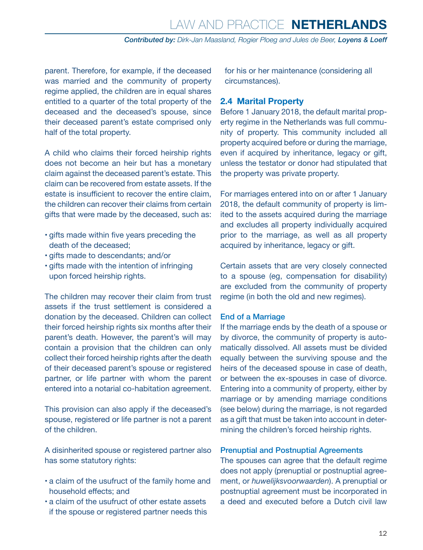<span id="page-11-0"></span>parent. Therefore, for example, if the deceased was married and the community of property regime applied, the children are in equal shares entitled to a quarter of the total property of the deceased and the deceased's spouse, since their deceased parent's estate comprised only half of the total property.

A child who claims their forced heirship rights does not become an heir but has a monetary claim against the deceased parent's estate. This claim can be recovered from estate assets. If the estate is insufficient to recover the entire claim, the children can recover their claims from certain gifts that were made by the deceased, such as:

- gifts made within five years preceding the death of the deceased;
- gifts made to descendants; and/or
- gifts made with the intention of infringing upon forced heirship rights.

The children may recover their claim from trust assets if the trust settlement is considered a donation by the deceased. Children can collect their forced heirship rights six months after their parent's death. However, the parent's will may contain a provision that the children can only collect their forced heirship rights after the death of their deceased parent's spouse or registered partner, or life partner with whom the parent entered into a notarial co-habitation agreement.

This provision can also apply if the deceased's spouse, registered or life partner is not a parent of the children.

A disinherited spouse or registered partner also has some statutory rights:

- a claim of the usufruct of the family home and household effects; and
- a claim of the usufruct of other estate assets if the spouse or registered partner needs this

for his or her maintenance (considering all circumstances).

#### **2.4 Marital Property**

Before 1 January 2018, the default marital property regime in the Netherlands was full community of property. This community included all property acquired before or during the marriage, even if acquired by inheritance, legacy or gift, unless the testator or donor had stipulated that the property was private property.

For marriages entered into on or after 1 January 2018, the default community of property is limited to the assets acquired during the marriage and excludes all property individually acquired prior to the marriage, as well as all property acquired by inheritance, legacy or gift.

Certain assets that are very closely connected to a spouse (eg, compensation for disability) are excluded from the community of property regime (in both the old and new regimes).

#### End of a Marriage

If the marriage ends by the death of a spouse or by divorce, the community of property is automatically dissolved. All assets must be divided equally between the surviving spouse and the heirs of the deceased spouse in case of death, or between the ex-spouses in case of divorce. Entering into a community of property, either by marriage or by amending marriage conditions (see below) during the marriage, is not regarded as a gift that must be taken into account in determining the children's forced heirship rights.

#### Prenuptial and Postnuptial Agreements

The spouses can agree that the default regime does not apply (prenuptial or postnuptial agreement, or *huwelijksvoorwaarden*). A prenuptial or postnuptial agreement must be incorporated in a deed and executed before a Dutch civil law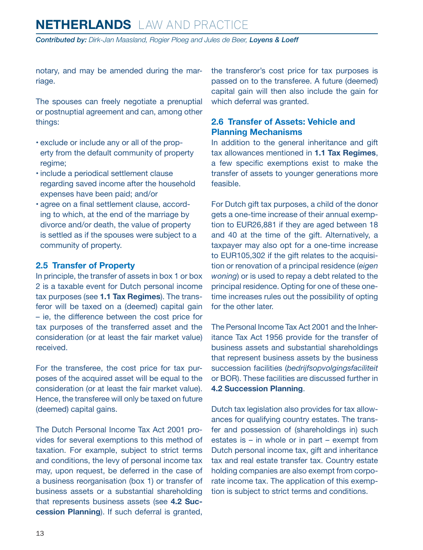<span id="page-12-0"></span>*Contributed by: Dirk-Jan Maasland, Rogier Ploeg and Jules de Beer, Loyens & Loeff*

notary, and may be amended during the marriage.

The spouses can freely negotiate a prenuptial or postnuptial agreement and can, among other things:

- exclude or include any or all of the property from the default community of property regime;
- include a periodical settlement clause regarding saved income after the household expenses have been paid; and/or
- agree on a final settlement clause, according to which, at the end of the marriage by divorce and/or death, the value of property is settled as if the spouses were subject to a community of property.

#### **2.5 Transfer of Property**

In principle, the transfer of assets in box 1 or box 2 is a taxable event for Dutch personal income tax purposes (see **1.1 Tax Regimes**). The transferor will be taxed on a (deemed) capital gain – ie, the difference between the cost price for tax purposes of the transferred asset and the consideration (or at least the fair market value) received.

For the transferee, the cost price for tax purposes of the acquired asset will be equal to the consideration (or at least the fair market value). Hence, the transferee will only be taxed on future (deemed) capital gains.

The Dutch Personal Income Tax Act 2001 provides for several exemptions to this method of taxation. For example, subject to strict terms and conditions, the levy of personal income tax may, upon request, be deferred in the case of a business reorganisation (box 1) or transfer of business assets or a substantial shareholding that represents business assets (see **4.2 Succession Planning**). If such deferral is granted, the transferor's cost price for tax purposes is passed on to the transferee. A future (deemed) capital gain will then also include the gain for which deferral was granted.

#### **2.6 Transfer of Assets: Vehicle and Planning Mechanisms**

In addition to the general inheritance and gift tax allowances mentioned in **1.1 Tax Regimes**, a few specific exemptions exist to make the transfer of assets to younger generations more feasible.

For Dutch gift tax purposes, a child of the donor gets a one-time increase of their annual exemption to EUR26,881 if they are aged between 18 and 40 at the time of the gift. Alternatively, a taxpayer may also opt for a one-time increase to EUR105,302 if the gift relates to the acquisition or renovation of a principal residence (*eigen woning*) or is used to repay a debt related to the principal residence. Opting for one of these onetime increases rules out the possibility of opting for the other later.

The Personal Income Tax Act 2001 and the Inheritance Tax Act 1956 provide for the transfer of business assets and substantial shareholdings that represent business assets by the business succession facilities (*bedrijfsopvolgingsfaciliteit* or BOR). These facilities are discussed further in **4.2 Succession Planning**.

Dutch tax legislation also provides for tax allowances for qualifying country estates. The transfer and possession of (shareholdings in) such estates is – in whole or in part – exempt from Dutch personal income tax, gift and inheritance tax and real estate transfer tax. Country estate holding companies are also exempt from corporate income tax. The application of this exemption is subject to strict terms and conditions.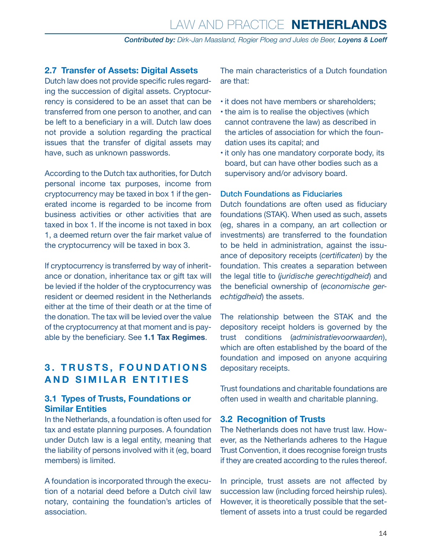#### <span id="page-13-0"></span>**2.7 Transfer of Assets: Digital Assets**

Dutch law does not provide specific rules regarding the succession of digital assets. Cryptocurrency is considered to be an asset that can be transferred from one person to another, and can be left to a beneficiary in a will. Dutch law does not provide a solution regarding the practical issues that the transfer of digital assets may have, such as unknown passwords.

According to the Dutch tax authorities, for Dutch personal income tax purposes, income from cryptocurrency may be taxed in box 1 if the generated income is regarded to be income from business activities or other activities that are taxed in box 1. If the income is not taxed in box 1, a deemed return over the fair market value of the cryptocurrency will be taxed in box 3.

If cryptocurrency is transferred by way of inheritance or donation, inheritance tax or gift tax will be levied if the holder of the cryptocurrency was resident or deemed resident in the Netherlands either at the time of their death or at the time of the donation. The tax will be levied over the value of the cryptocurrency at that moment and is payable by the beneficiary. See **1.1 Tax Regimes**.

#### **3. TRUSTS, FOUNDATIONS AND SIMILAR ENTITIES**

#### **3.1 Types of Trusts, Foundations or Similar Entities**

In the Netherlands, a foundation is often used for tax and estate planning purposes. A foundation under Dutch law is a legal entity, meaning that the liability of persons involved with it (eg, board members) is limited.

A foundation is incorporated through the execution of a notarial deed before a Dutch civil law notary, containing the foundation's articles of association.

The main characteristics of a Dutch foundation are that:

- it does not have members or shareholders;
- the aim is to realise the objectives (which cannot contravene the law) as described in the articles of association for which the foundation uses its capital; and
- it only has one mandatory corporate body, its board, but can have other bodies such as a supervisory and/or advisory board.

#### Dutch Foundations as Fiduciaries

Dutch foundations are often used as fiduciary foundations (STAK). When used as such, assets (eg, shares in a company, an art collection or investments) are transferred to the foundation to be held in administration, against the issuance of depository receipts (*certificaten*) by the foundation. This creates a separation between the legal title to (*juridische gerechtigdheid*) and the beneficial ownership of (*economische gerechtigdheid*) the assets.

The relationship between the STAK and the depository receipt holders is governed by the trust conditions (*administratievoorwaarden*), which are often established by the board of the foundation and imposed on anyone acquiring depositary receipts.

Trust foundations and charitable foundations are often used in wealth and charitable planning.

#### **3.2 Recognition of Trusts**

The Netherlands does not have trust law. However, as the Netherlands adheres to the Hague Trust Convention, it does recognise foreign trusts if they are created according to the rules thereof.

In principle, trust assets are not affected by succession law (including forced heirship rules). However, it is theoretically possible that the settlement of assets into a trust could be regarded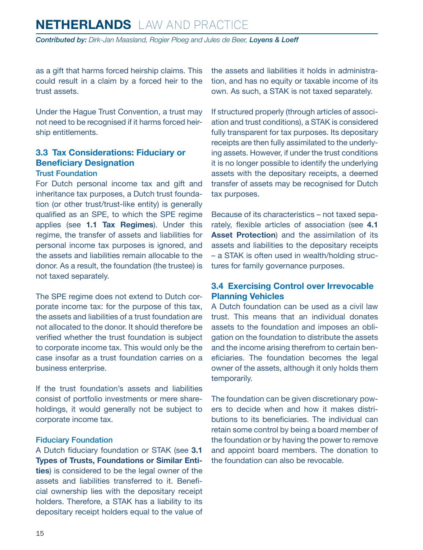<span id="page-14-0"></span>*Contributed by: Dirk-Jan Maasland, Rogier Ploeg and Jules de Beer, Loyens & Loeff*

as a gift that harms forced heirship claims. This could result in a claim by a forced heir to the trust assets.

Under the Hague Trust Convention, a trust may not need to be recognised if it harms forced heirship entitlements.

#### **3.3 Tax Considerations: Fiduciary or Beneficiary Designation**

#### Trust Foundation

For Dutch personal income tax and gift and inheritance tax purposes, a Dutch trust foundation (or other trust/trust-like entity) is generally qualified as an SPE, to which the SPE regime applies (see **1.1 Tax Regimes**). Under this regime, the transfer of assets and liabilities for personal income tax purposes is ignored, and the assets and liabilities remain allocable to the donor. As a result, the foundation (the trustee) is not taxed separately.

The SPE regime does not extend to Dutch corporate income tax: for the purpose of this tax, the assets and liabilities of a trust foundation are not allocated to the donor. It should therefore be verified whether the trust foundation is subject to corporate income tax. This would only be the case insofar as a trust foundation carries on a business enterprise.

If the trust foundation's assets and liabilities consist of portfolio investments or mere shareholdings, it would generally not be subject to corporate income tax.

#### Fiduciary Foundation

A Dutch fiduciary foundation or STAK (see **3.1 Types of Trusts, Foundations or Similar Entities**) is considered to be the legal owner of the assets and liabilities transferred to it. Beneficial ownership lies with the depositary receipt holders. Therefore, a STAK has a liability to its depositary receipt holders equal to the value of the assets and liabilities it holds in administration, and has no equity or taxable income of its own. As such, a STAK is not taxed separately.

If structured properly (through articles of association and trust conditions), a STAK is considered fully transparent for tax purposes. Its depositary receipts are then fully assimilated to the underlying assets. However, if under the trust conditions it is no longer possible to identify the underlying assets with the depositary receipts, a deemed transfer of assets may be recognised for Dutch tax purposes.

Because of its characteristics – not taxed separately, flexible articles of association (see **4.1 Asset Protection**) and the assimilation of its assets and liabilities to the depositary receipts – a STAK is often used in wealth/holding structures for family governance purposes.

#### **3.4 Exercising Control over Irrevocable Planning Vehicles**

A Dutch foundation can be used as a civil law trust. This means that an individual donates assets to the foundation and imposes an obligation on the foundation to distribute the assets and the income arising therefrom to certain beneficiaries. The foundation becomes the legal owner of the assets, although it only holds them temporarily.

The foundation can be given discretionary powers to decide when and how it makes distributions to its beneficiaries. The individual can retain some control by being a board member of the foundation or by having the power to remove and appoint board members. The donation to the foundation can also be revocable.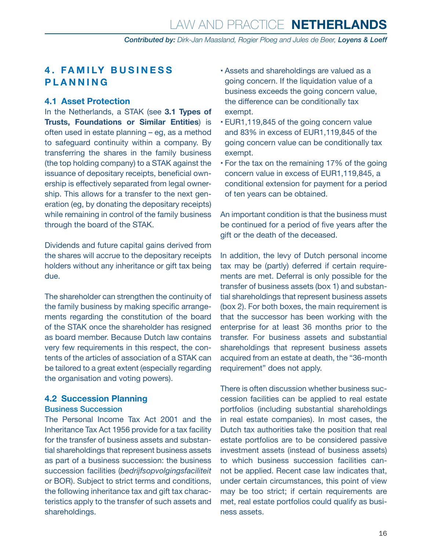#### <span id="page-15-0"></span>**4 . F A M I LY B U S I N E S S PLANNING**

#### **4.1 Asset Protection**

In the Netherlands, a STAK (see **3.1 Types of Trusts, Foundations or Similar Entities**) is often used in estate planning – eg, as a method to safeguard continuity within a company. By transferring the shares in the family business (the top holding company) to a STAK against the issuance of depositary receipts, beneficial ownership is effectively separated from legal ownership. This allows for a transfer to the next generation (eg, by donating the depositary receipts) while remaining in control of the family business through the board of the STAK.

Dividends and future capital gains derived from the shares will accrue to the depositary receipts holders without any inheritance or gift tax being due.

The shareholder can strengthen the continuity of the family business by making specific arrangements regarding the constitution of the board of the STAK once the shareholder has resigned as board member. Because Dutch law contains very few requirements in this respect, the contents of the articles of association of a STAK can be tailored to a great extent (especially regarding the organisation and voting powers).

#### **4.2 Succession Planning**

#### Business Succession

The Personal Income Tax Act 2001 and the Inheritance Tax Act 1956 provide for a tax facility for the transfer of business assets and substantial shareholdings that represent business assets as part of a business succession: the business succession facilities (*bedrijfsopvolgingsfaciliteit* or BOR). Subject to strict terms and conditions, the following inheritance tax and gift tax characteristics apply to the transfer of such assets and shareholdings.

- Assets and shareholdings are valued as a going concern. If the liquidation value of a business exceeds the going concern value, the difference can be conditionally tax exempt.
- EUR1,119,845 of the going concern value and 83% in excess of EUR1,119,845 of the going concern value can be conditionally tax exempt.
- For the tax on the remaining 17% of the going concern value in excess of EUR1,119,845, a conditional extension for payment for a period of ten years can be obtained.

An important condition is that the business must be continued for a period of five years after the gift or the death of the deceased.

In addition, the levy of Dutch personal income tax may be (partly) deferred if certain requirements are met. Deferral is only possible for the transfer of business assets (box 1) and substantial shareholdings that represent business assets (box 2). For both boxes, the main requirement is that the successor has been working with the enterprise for at least 36 months prior to the transfer. For business assets and substantial shareholdings that represent business assets acquired from an estate at death, the "36-month requirement" does not apply.

There is often discussion whether business succession facilities can be applied to real estate portfolios (including substantial shareholdings in real estate companies). In most cases, the Dutch tax authorities take the position that real estate portfolios are to be considered passive investment assets (instead of business assets) to which business succession facilities cannot be applied. Recent case law indicates that, under certain circumstances, this point of view may be too strict; if certain requirements are met, real estate portfolios could qualify as business assets.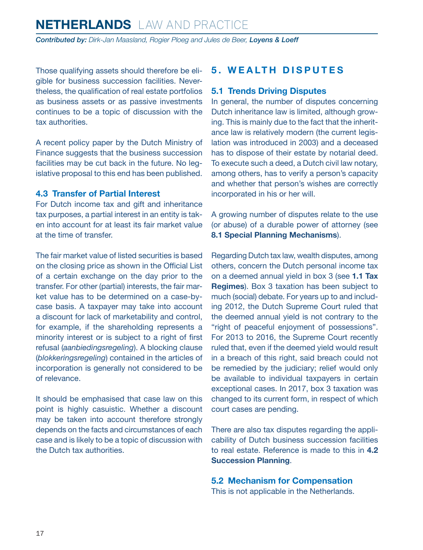<span id="page-16-0"></span>*Contributed by: Dirk-Jan Maasland, Rogier Ploeg and Jules de Beer, Loyens & Loeff*

Those qualifying assets should therefore be eligible for business succession facilities. Nevertheless, the qualification of real estate portfolios as business assets or as passive investments continues to be a topic of discussion with the tax authorities.

A recent policy paper by the Dutch Ministry of Finance suggests that the business succession facilities may be cut back in the future. No legislative proposal to this end has been published.

#### **4.3 Transfer of Partial Interest**

For Dutch income tax and gift and inheritance tax purposes, a partial interest in an entity is taken into account for at least its fair market value at the time of transfer.

The fair market value of listed securities is based on the closing price as shown in the Official List of a certain exchange on the day prior to the transfer. For other (partial) interests, the fair market value has to be determined on a case-bycase basis. A taxpayer may take into account a discount for lack of marketability and control, for example, if the shareholding represents a minority interest or is subject to a right of first refusal (*aanbiedingsregeling*). A blocking clause (*blokkeringsregeling*) contained in the articles of incorporation is generally not considered to be of relevance.

It should be emphasised that case law on this point is highly casuistic. Whether a discount may be taken into account therefore strongly depends on the facts and circumstances of each case and is likely to be a topic of discussion with the Dutch tax authorities.

#### **5. WEALTH DISPUTES**

#### **5.1 Trends Driving Disputes**

In general, the number of disputes concerning Dutch inheritance law is limited, although growing. This is mainly due to the fact that the inheritance law is relatively modern (the current legislation was introduced in 2003) and a deceased has to dispose of their estate by notarial deed. To execute such a deed, a Dutch civil law notary, among others, has to verify a person's capacity and whether that person's wishes are correctly incorporated in his or her will.

A growing number of disputes relate to the use (or abuse) of a durable power of attorney (see **8.1 Special Planning Mechanisms**).

Regarding Dutch tax law, wealth disputes, among others, concern the Dutch personal income tax on a deemed annual yield in box 3 (see **1.1 Tax Regimes**). Box 3 taxation has been subject to much (social) debate. For years up to and including 2012, the Dutch Supreme Court ruled that the deemed annual yield is not contrary to the "right of peaceful enjoyment of possessions". For 2013 to 2016, the Supreme Court recently ruled that, even if the deemed yield would result in a breach of this right, said breach could not be remedied by the judiciary; relief would only be available to individual taxpayers in certain exceptional cases. In 2017, box 3 taxation was changed to its current form, in respect of which court cases are pending.

There are also tax disputes regarding the applicability of Dutch business succession facilities to real estate. Reference is made to this in **4.2 Succession Planning**.

**5.2 Mechanism for Compensation** This is not applicable in the Netherlands.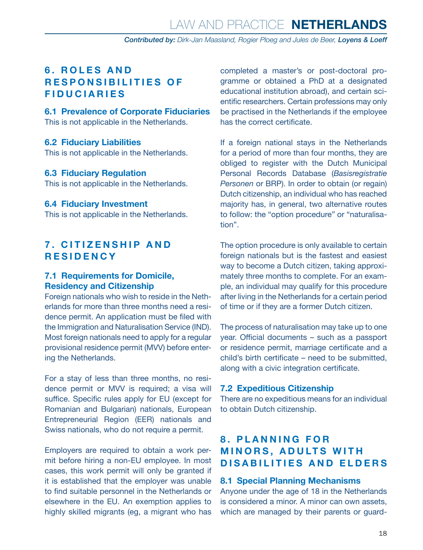#### <span id="page-17-0"></span>**6 . R O L E S A N D RESPONSIBILITIES OF FIDUCIARIES**

**6.1 Prevalence of Corporate Fiduciaries** This is not applicable in the Netherlands.

#### **6.2 Fiduciary Liabilities**

This is not applicable in the Netherlands.

#### **6.3 Fiduciary Regulation**

This is not applicable in the Netherlands.

#### **6.4 Fiduciary Investment**

This is not applicable in the Netherlands.

#### **7. CITIZENSHIP AND RESIDENCY**

#### **7.1 Requirements for Domicile, Residency and Citizenship**

Foreign nationals who wish to reside in the Netherlands for more than three months need a residence permit. An application must be filed with the Immigration and Naturalisation Service (IND). Most foreign nationals need to apply for a regular provisional residence permit (MVV) before entering the Netherlands.

For a stay of less than three months, no residence permit or MVV is required; a visa will suffice. Specific rules apply for EU (except for Romanian and Bulgarian) nationals, European Entrepreneurial Region (EER) nationals and Swiss nationals, who do not require a permit.

Employers are required to obtain a work permit before hiring a non-EU employee. In most cases, this work permit will only be granted if it is established that the employer was unable to find suitable personnel in the Netherlands or elsewhere in the EU. An exemption applies to highly skilled migrants (eg, a migrant who has completed a master's or post-doctoral programme or obtained a PhD at a designated educational institution abroad), and certain scientific researchers. Certain professions may only be practised in the Netherlands if the employee has the correct certificate.

If a foreign national stays in the Netherlands for a period of more than four months, they are obliged to register with the Dutch Municipal Personal Records Database (*Basisregistratie Personen* or BRP). In order to obtain (or regain) Dutch citizenship, an individual who has reached majority has, in general, two alternative routes to follow: the "option procedure" or "naturalisation".

The option procedure is only available to certain foreign nationals but is the fastest and easiest way to become a Dutch citizen, taking approximately three months to complete. For an example, an individual may qualify for this procedure after living in the Netherlands for a certain period of time or if they are a former Dutch citizen.

The process of naturalisation may take up to one year. Official documents – such as a passport or residence permit, marriage certificate and a child's birth certificate – need to be submitted, along with a civic integration certificate.

#### **7.2 Expeditious Citizenship**

There are no expeditious means for an individual to obtain Dutch citizenship.

#### **8 . P L A N N I N G F O R MINORS, ADULTS WITH DISABILITIES AND ELDERS**

#### **8.1 Special Planning Mechanisms**

Anyone under the age of 18 in the Netherlands is considered a minor. A minor can own assets, which are managed by their parents or guard-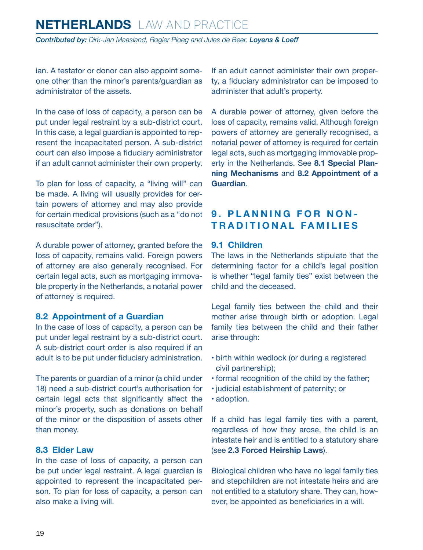<span id="page-18-0"></span>*Contributed by: Dirk-Jan Maasland, Rogier Ploeg and Jules de Beer, Loyens & Loeff*

ian. A testator or donor can also appoint someone other than the minor's parents/guardian as administrator of the assets.

In the case of loss of capacity, a person can be put under legal restraint by a sub-district court. In this case, a legal guardian is appointed to represent the incapacitated person. A sub-district court can also impose a fiduciary administrator if an adult cannot administer their own property.

To plan for loss of capacity, a "living will" can be made. A living will usually provides for certain powers of attorney and may also provide for certain medical provisions (such as a "do not resuscitate order").

A durable power of attorney, granted before the loss of capacity, remains valid. Foreign powers of attorney are also generally recognised. For certain legal acts, such as mortgaging immovable property in the Netherlands, a notarial power of attorney is required.

#### **8.2 Appointment of a Guardian**

In the case of loss of capacity, a person can be put under legal restraint by a sub-district court. A sub-district court order is also required if an adult is to be put under fiduciary administration.

The parents or guardian of a minor (a child under 18) need a sub-district court's authorisation for certain legal acts that significantly affect the minor's property, such as donations on behalf of the minor or the disposition of assets other than money.

#### **8.3 Elder Law**

In the case of loss of capacity, a person can be put under legal restraint. A legal guardian is appointed to represent the incapacitated person. To plan for loss of capacity, a person can also make a living will.

If an adult cannot administer their own property, a fiduciary administrator can be imposed to administer that adult's property.

A durable power of attorney, given before the loss of capacity, remains valid. Although foreign powers of attorney are generally recognised, a notarial power of attorney is required for certain legal acts, such as mortgaging immovable property in the Netherlands. See **8.1 Special Planning Mechanisms** and **8.2 Appointment of a Guardian**.

#### **9. PLANNING FOR NON-TRADITIONAL FAMILIES**

#### **9.1 Children**

The laws in the Netherlands stipulate that the determining factor for a child's legal position is whether "legal family ties" exist between the child and the deceased.

Legal family ties between the child and their mother arise through birth or adoption. Legal family ties between the child and their father arise through:

- birth within wedlock (or during a registered civil partnership);
- formal recognition of the child by the father;
- judicial establishment of paternity; or
- adoption.

If a child has legal family ties with a parent, regardless of how they arose, the child is an intestate heir and is entitled to a statutory share (see **2.3 Forced Heirship Laws**).

Biological children who have no legal family ties and stepchildren are not intestate heirs and are not entitled to a statutory share. They can, however, be appointed as beneficiaries in a will.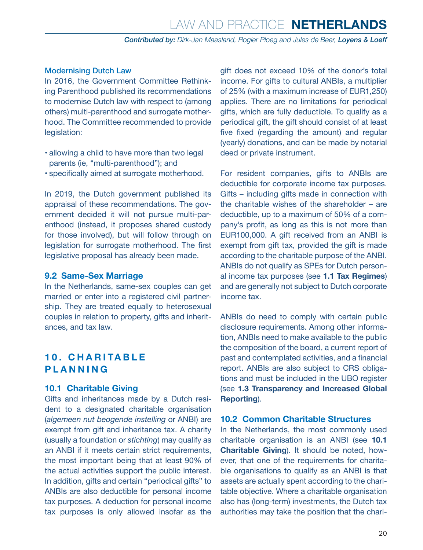#### <span id="page-19-0"></span>Modernising Dutch Law

In 2016, the Government Committee Rethinking Parenthood published its recommendations to modernise Dutch law with respect to (among others) multi-parenthood and surrogate motherhood. The Committee recommended to provide legislation:

- allowing a child to have more than two legal parents (ie, "multi-parenthood"); and
- specifically aimed at surrogate motherhood.

In 2019, the Dutch government published its appraisal of these recommendations. The government decided it will not pursue multi-parenthood (instead, it proposes shared custody for those involved), but will follow through on legislation for surrogate motherhood. The first legislative proposal has already been made.

#### **9.2 Same-Sex Marriage**

In the Netherlands, same-sex couples can get married or enter into a registered civil partnership. They are treated equally to heterosexual couples in relation to property, gifts and inheritances, and tax law.

#### **1 0 . C H A R I TA B L E PLANNING**

#### **10.1 Charitable Giving**

Gifts and inheritances made by a Dutch resident to a designated charitable organisation (*algemeen nut beogende instelling* or ANBI) are exempt from gift and inheritance tax. A charity (usually a foundation or *stichting*) may qualify as an ANBI if it meets certain strict requirements, the most important being that at least 90% of the actual activities support the public interest. In addition, gifts and certain "periodical gifts" to ANBIs are also deductible for personal income tax purposes. A deduction for personal income tax purposes is only allowed insofar as the

gift does not exceed 10% of the donor's total income. For gifts to cultural ANBIs, a multiplier of 25% (with a maximum increase of EUR1,250) applies. There are no limitations for periodical gifts, which are fully deductible. To qualify as a periodical gift, the gift should consist of at least five fixed (regarding the amount) and regular (yearly) donations, and can be made by notarial deed or private instrument.

For resident companies, gifts to ANBIs are deductible for corporate income tax purposes. Gifts – including gifts made in connection with the charitable wishes of the shareholder – are deductible, up to a maximum of 50% of a company's profit, as long as this is not more than EUR100,000. A gift received from an ANBI is exempt from gift tax, provided the gift is made according to the charitable purpose of the ANBI. ANBIs do not qualify as SPEs for Dutch personal income tax purposes (see **1.1 Tax Regimes**) and are generally not subject to Dutch corporate income tax.

ANBIs do need to comply with certain public disclosure requirements. Among other information, ANBIs need to make available to the public the composition of the board, a current report of past and contemplated activities, and a financial report. ANBIs are also subject to CRS obligations and must be included in the UBO register (see **1.3 Transparency and Increased Global Reporting**).

#### **10.2 Common Charitable Structures**

In the Netherlands, the most commonly used charitable organisation is an ANBI (see **10.1 Charitable Giving**). It should be noted, however, that one of the requirements for charitable organisations to qualify as an ANBI is that assets are actually spent according to the charitable objective. Where a charitable organisation also has (long-term) investments, the Dutch tax authorities may take the position that the chari-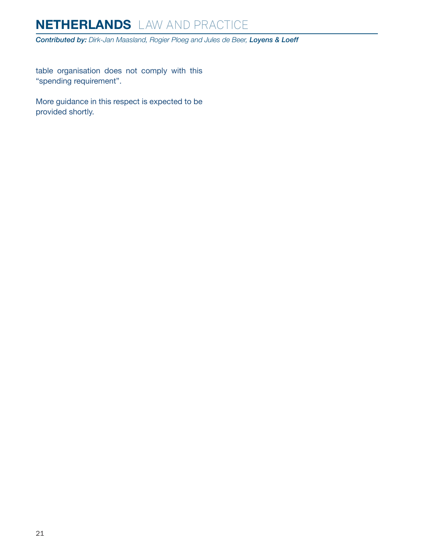*Contributed by: Dirk-Jan Maasland, Rogier Ploeg and Jules de Beer, Loyens & Loeff*

table organisation does not comply with this "spending requirement".

More guidance in this respect is expected to be provided shortly.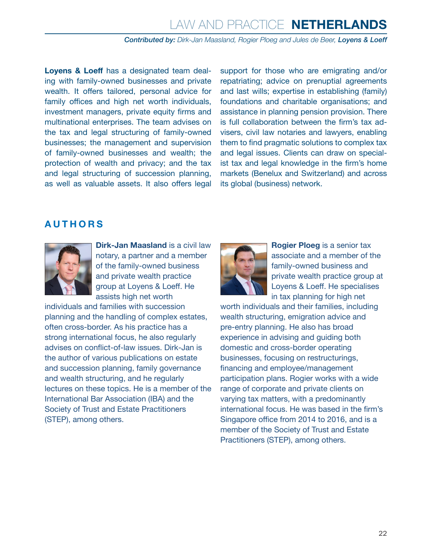#### *Contributed by: Dirk-Jan Maasland, Rogier Ploeg and Jules de Beer, Loyens & Loeff*

**Loyens & Loeff** has a designated team dealing with family-owned businesses and private wealth. It offers tailored, personal advice for family offices and high net worth individuals, investment managers, private equity firms and multinational enterprises. The team advises on the tax and legal structuring of family-owned businesses; the management and supervision of family-owned businesses and wealth; the protection of wealth and privacy; and the tax and legal structuring of succession planning, as well as valuable assets. It also offers legal support for those who are emigrating and/or repatriating; advice on prenuptial agreements and last wills; expertise in establishing (family) foundations and charitable organisations; and assistance in planning pension provision. There is full collaboration between the firm's tax advisers, civil law notaries and lawyers, enabling them to find pragmatic solutions to complex tax and legal issues. Clients can draw on specialist tax and legal knowledge in the firm's home markets (Benelux and Switzerland) and across its global (business) network.

#### <span id="page-21-0"></span>**AUTHORS**



**Dirk-Jan Maasland** is a civil law notary, a partner and a member of the family-owned business and private wealth practice group at Loyens & Loeff. He assists high net worth

individuals and families with succession planning and the handling of complex estates, often cross-border. As his practice has a strong international focus, he also regularly advises on conflict-of-law issues. Dirk-Jan is the author of various publications on estate and succession planning, family governance and wealth structuring, and he regularly lectures on these topics. He is a member of the International Bar Association (IBA) and the Society of Trust and Estate Practitioners (STEP), among others.



**Rogier Ploeg** is a senior tax associate and a member of the family-owned business and private wealth practice group at Loyens & Loeff. He specialises in tax planning for high net

worth individuals and their families, including wealth structuring, emigration advice and pre-entry planning. He also has broad experience in advising and guiding both domestic and cross-border operating businesses, focusing on restructurings, financing and employee/management participation plans. Rogier works with a wide range of corporate and private clients on varying tax matters, with a predominantly international focus. He was based in the firm's Singapore office from 2014 to 2016, and is a member of the Society of Trust and Estate Practitioners (STEP), among others.